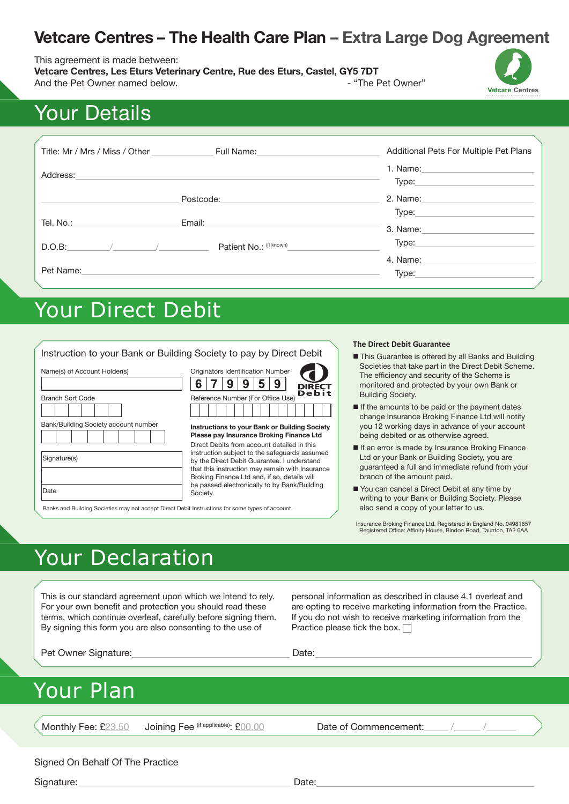### **Vetcare Centres – The Health Care Plan – Extra Large Dog Agreement**

#### This agreement is made between:

**Vetcare Centres, Les Eturs Veterinary Centre, Rue des Eturs, Castel, GY5 7DT** And the Pet Owner named below. And the Pet Owner"



# Your Details

| Title: Mr / Mrs / Miss / Other | Full Name: The Management of the Second Second Second Second Second Second Second Second Second Second Second Second Second Second Second Second Second Second Second Second Second Second Second Second Second Second Second | Additional Pets For Multiple Pet Plans                                                                                                                                                                                                  |
|--------------------------------|-------------------------------------------------------------------------------------------------------------------------------------------------------------------------------------------------------------------------------|-----------------------------------------------------------------------------------------------------------------------------------------------------------------------------------------------------------------------------------------|
| Address:                       |                                                                                                                                                                                                                               | 1. Name: the contract of the contract of the contract of the contract of the contract of the contract of the contract of the contract of the contract of the contract of the contract of the contract of the contract of the c<br>Type: |
|                                | Postcode:                                                                                                                                                                                                                     | 2. Name:                                                                                                                                                                                                                                |
| Tel. No.:                      | Email:                                                                                                                                                                                                                        | Type: Type:<br>3. Name: $\_$                                                                                                                                                                                                            |
| D.O.B:                         | Patient No.: (if known)                                                                                                                                                                                                       | Type:                                                                                                                                                                                                                                   |
| Pet Name:                      |                                                                                                                                                                                                                               | 4. Name:<br>Type:                                                                                                                                                                                                                       |

## Your Direct Debit

|                                                                                                          |                                                                                                                                                                                                                                                             | <b>The Direct Debit Guarantee</b>                                                                                                                                                                                                        |
|----------------------------------------------------------------------------------------------------------|-------------------------------------------------------------------------------------------------------------------------------------------------------------------------------------------------------------------------------------------------------------|------------------------------------------------------------------------------------------------------------------------------------------------------------------------------------------------------------------------------------------|
| Name(s) of Account Holder(s)<br><b>Branch Sort Code</b>                                                  | Instruction to your Bank or Building Society to pay by Direct Debit<br>Originators Identification Number<br>9<br><b>DIRECT</b><br>C<br>Debit<br>Reference Number (For Office Use)                                                                           | ■ This Guarantee is offered by all Banks and Building<br>Societies that take part in the Direct Debit Scheme.<br>The efficiency and security of the Scheme is<br>monitored and protected by your own Bank or<br><b>Building Society.</b> |
| Bank/Building Society account number                                                                     |                                                                                                                                                                                                                                                             | If the amounts to be paid or the payment dates<br>change Insurance Broking Finance Ltd will notify                                                                                                                                       |
|                                                                                                          | Instructions to your Bank or Building Society<br>Please pay Insurance Broking Finance Ltd<br>Direct Debits from account detailed in this                                                                                                                    | you 12 working days in advance of your account<br>being debited or as otherwise agreed.                                                                                                                                                  |
| Signature(s)                                                                                             | instruction subject to the safeguards assumed<br>by the Direct Debit Guarantee. I understand<br>that this instruction may remain with Insurance<br>Broking Finance Ltd and, if so, details will<br>be passed electronically to by Bank/Building<br>Society. | If an error is made by Insurance Broking Finance<br>Ltd or your Bank or Building Society, you are<br>quaranteed a full and immediate refund from your<br>branch of the amount paid.                                                      |
| Date<br>Banks and Building Societies may not accept Direct Debit Instructions for some types of account. |                                                                                                                                                                                                                                                             | You can cancel a Direct Debit at any time by<br>writing to your Bank or Building Society. Please<br>also send a copy of your letter to us.                                                                                               |

Insurance Broking Finance Ltd. Registered in England No. 04981657 Registered Office: Affinity House, Bindon Road, Taunton, TA2 6AA

# Your Declaration

This is our standard agreement upon which we intend to rely. For your own benefit and protection you should read these terms, which continue overleaf, carefully before signing them. By signing this form you are also consenting to the use of

personal information as described in clause 4.1 overleaf and are opting to receive marketing information from the Practice. If you do not wish to receive marketing information from the Practice please tick the box.  $\Box$ 

Pet Owner Signature: Date: Date: Date:

### Your Plan

Monthly Fee: £23.50 Joining Fee <sup>(if applicable)</sup>: £00.00 Date of Commencement:

#### Signed On Behalf Of The Practice

Signature: Date: Date: Date: Date: Date: Date: Date: Date: Date: Date: Date: Date: Date: Date: Date: Date: Date: Date: Date: Date: Date: Date: Date: Date: Date: Date: Date: Date: Date: Date: Date: Date: Date: Date: Date: D